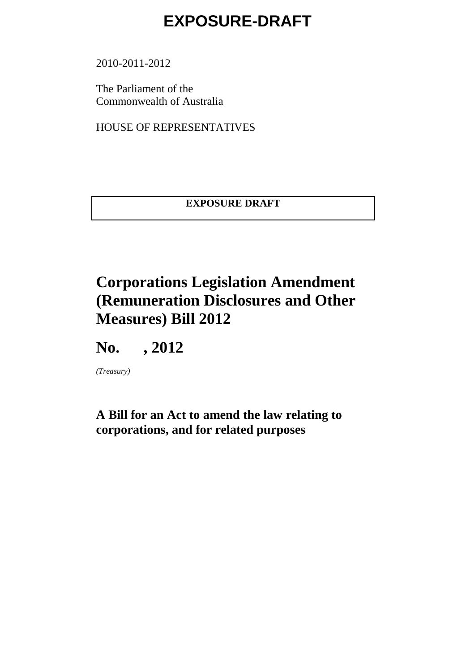2010-2011-2012

The Parliament of the Commonwealth of Australia

HOUSE OF REPRESENTATIVES

**EXPOSURE DRAFT**

### **Corporations Legislation Amendment (Remuneration Disclosures and Other Measures) Bill 2012**

**No. , 2012**

*(Treasury)*

**A Bill for an Act to amend the law relating to corporations, and for related purposes**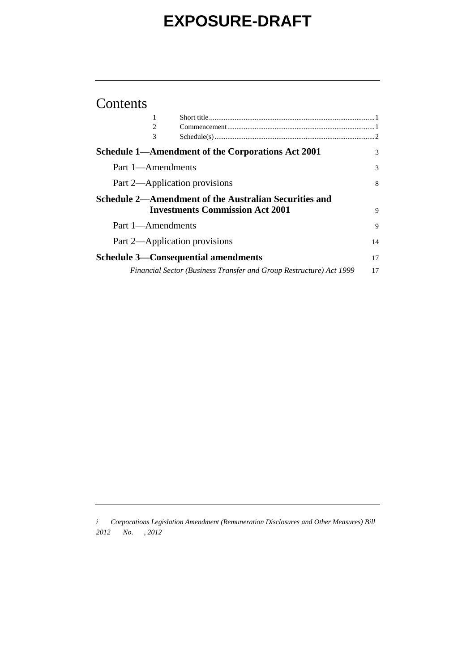#### Contents

| 1                                                                   |    |
|---------------------------------------------------------------------|----|
| 2                                                                   |    |
| 3                                                                   |    |
| Schedule 1—Amendment of the Corporations Act 2001                   | 3  |
| Part 1—Amendments                                                   | 3  |
| Part 2—Application provisions                                       | 8  |
| Schedule 2—Amendment of the Australian Securities and               |    |
| <b>Investments Commission Act 2001</b>                              | 9  |
| Part 1-Amendments                                                   | 9  |
| Part 2—Application provisions                                       | 14 |
| <b>Schedule 3—Consequential amendments</b>                          | 17 |
| Financial Sector (Business Transfer and Group Restructure) Act 1999 | 17 |

*i Corporations Legislation Amendment (Remuneration Disclosures and Other Measures) Bill 2012 No. , 2012*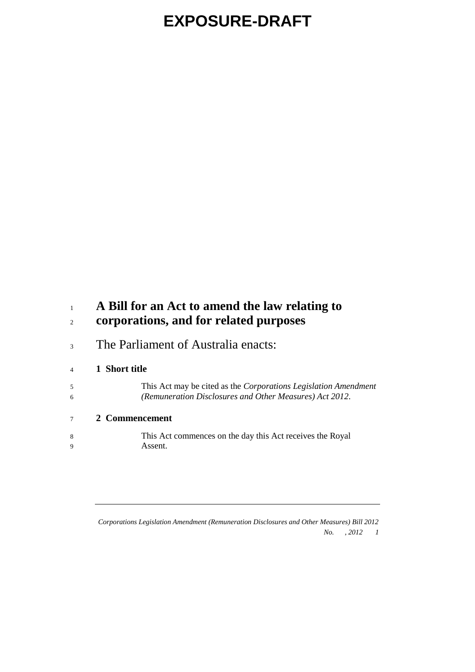#### **A Bill for an Act to amend the law relating to corporations, and for related purposes**

<sup>3</sup> The Parliament of Australia enacts:

#### **1 Short title**

 This Act may be cited as the *Corporations Legislation Amendment (Remuneration Disclosures and Other Measures) Act 2012*.

#### **2 Commencement**

 This Act commences on the day this Act receives the Royal Assent.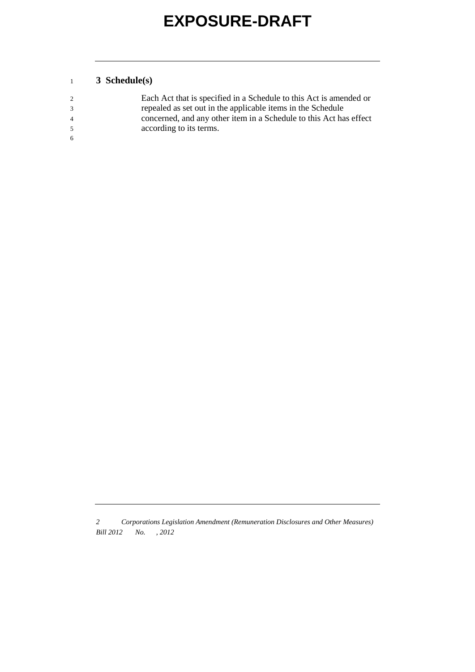#### **3 Schedule(s)**

| 2              | Each Act that is specified in a Schedule to this Act is amended or |
|----------------|--------------------------------------------------------------------|
| 3              | repealed as set out in the applicable items in the Schedule        |
| $\overline{4}$ | concerned, and any other item in a Schedule to this Act has effect |
| -5.            | according to its terms.                                            |
| -6             |                                                                    |

*<sup>2</sup> Corporations Legislation Amendment (Remuneration Disclosures and Other Measures) Bill 2012 No. , 2012*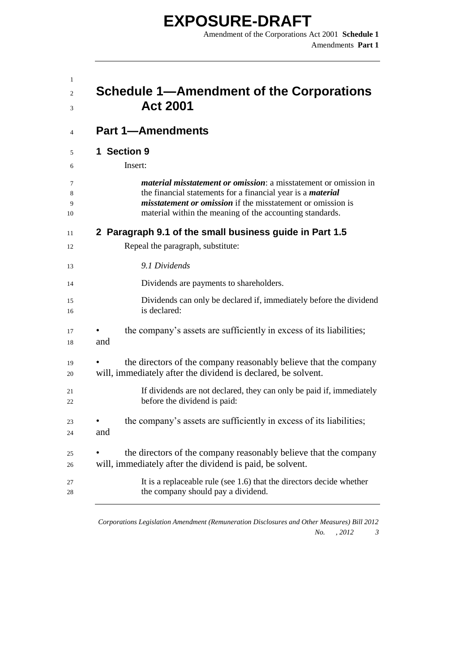**EXPOSURE-DRAFT** Amendment of the Corporations Act 2001 **Schedule 1**

|     | Schedule 1—Amendment of the Corporations<br><b>Act 2001</b>                                                                                                                                                                                                                     |
|-----|---------------------------------------------------------------------------------------------------------------------------------------------------------------------------------------------------------------------------------------------------------------------------------|
|     | <b>Part 1-Amendments</b>                                                                                                                                                                                                                                                        |
|     | 1 Section 9<br>Insert:                                                                                                                                                                                                                                                          |
|     | <i>material misstatement or omission: a misstatement or omission in</i><br>the financial statements for a financial year is a <i>material</i><br><i>misstatement or omission</i> if the misstatement or omission is<br>material within the meaning of the accounting standards. |
|     | 2 Paragraph 9.1 of the small business guide in Part 1.5                                                                                                                                                                                                                         |
|     | Repeal the paragraph, substitute:                                                                                                                                                                                                                                               |
|     | 9.1 Dividends                                                                                                                                                                                                                                                                   |
|     | Dividends are payments to shareholders.                                                                                                                                                                                                                                         |
|     | Dividends can only be declared if, immediately before the dividend<br>is declared:                                                                                                                                                                                              |
| and | the company's assets are sufficiently in excess of its liabilities;                                                                                                                                                                                                             |
|     | the directors of the company reasonably believe that the company<br>will, immediately after the dividend is declared, be solvent.                                                                                                                                               |
|     | If dividends are not declared, they can only be paid if, immediately<br>before the dividend is paid:                                                                                                                                                                            |
| and | the company's assets are sufficiently in excess of its liabilities;                                                                                                                                                                                                             |
|     | the directors of the company reasonably believe that the company<br>will, immediately after the dividend is paid, be solvent.                                                                                                                                                   |
|     | It is a replaceable rule (see 1.6) that the directors decide whether<br>the company should pay a dividend.                                                                                                                                                                      |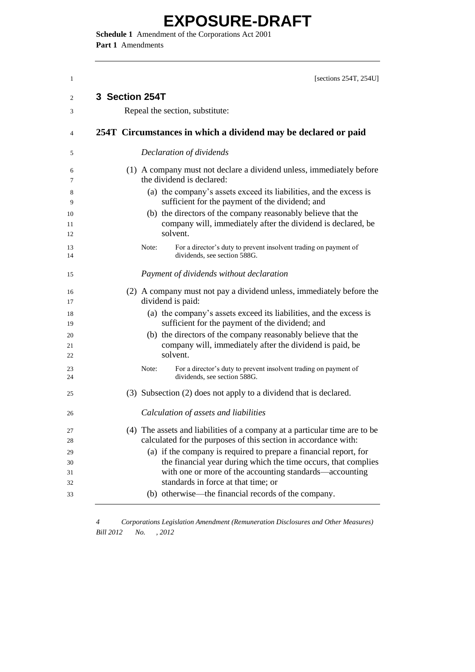**Schedule 1** Amendment of the Corporations Act 2001 **Part 1** Amendments

| [sections $254T$ , $254U$ ]                                                                                                                                                                    |
|------------------------------------------------------------------------------------------------------------------------------------------------------------------------------------------------|
| 3 Section 254T                                                                                                                                                                                 |
| Repeal the section, substitute:                                                                                                                                                                |
| 254T Circumstances in which a dividend may be declared or paid                                                                                                                                 |
| Declaration of dividends                                                                                                                                                                       |
| (1) A company must not declare a dividend unless, immediately before<br>the dividend is declared:                                                                                              |
| (a) the company's assets exceed its liabilities, and the excess is<br>sufficient for the payment of the dividend; and                                                                          |
| (b) the directors of the company reasonably believe that the<br>company will, immediately after the dividend is declared, be<br>solvent.                                                       |
| For a director's duty to prevent insolvent trading on payment of<br>Note:<br>dividends, see section 588G.                                                                                      |
| Payment of dividends without declaration                                                                                                                                                       |
| (2) A company must not pay a dividend unless, immediately before the<br>dividend is paid:                                                                                                      |
| (a) the company's assets exceed its liabilities, and the excess is<br>sufficient for the payment of the dividend; and                                                                          |
| (b) the directors of the company reasonably believe that the<br>company will, immediately after the dividend is paid, be<br>solvent.                                                           |
| For a director's duty to prevent insolvent trading on payment of<br>Note:<br>dividends, see section 588G.                                                                                      |
| (3) Subsection (2) does not apply to a dividend that is declared.                                                                                                                              |
| Calculation of assets and liabilities                                                                                                                                                          |
| (4) The assets and liabilities of a company at a particular time are to be<br>calculated for the purposes of this section in accordance with:                                                  |
| (a) if the company is required to prepare a financial report, for<br>the financial year during which the time occurs, that complies<br>with one or more of the accounting standards—accounting |
| standards in force at that time; or<br>(b) otherwise—the financial records of the company.                                                                                                     |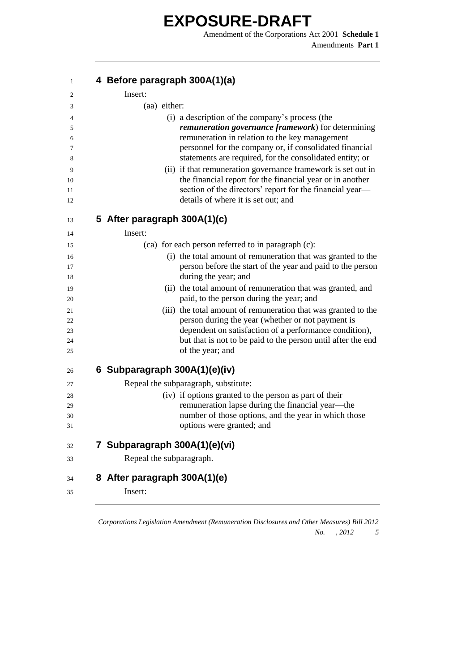Amendment of the Corporations Act 2001 **Schedule 1** Amendments **Part 1**

| 1        | 4 Before paragraph 300A(1)(a)                                                                                       |
|----------|---------------------------------------------------------------------------------------------------------------------|
| 2        | Insert:                                                                                                             |
| 3        | (aa) either:                                                                                                        |
| 4        | (i) a description of the company's process (the                                                                     |
| 5        | remuneration governance framework) for determining                                                                  |
| 6        | remuneration in relation to the key management                                                                      |
| 7<br>8   | personnel for the company or, if consolidated financial<br>statements are required, for the consolidated entity; or |
| 9        | (ii) if that remuneration governance framework is set out in                                                        |
| 10       | the financial report for the financial year or in another                                                           |
| 11<br>12 | section of the directors' report for the financial year-<br>details of where it is set out; and                     |
| 13       | 5 After paragraph 300A(1)(c)                                                                                        |
| 14       | Insert:                                                                                                             |
| 15       | (ca) for each person referred to in paragraph (c):                                                                  |
| 16       | (i) the total amount of remuneration that was granted to the                                                        |
| 17       | person before the start of the year and paid to the person                                                          |
| 18       | during the year; and                                                                                                |
| 19<br>20 | (ii) the total amount of remuneration that was granted, and<br>paid, to the person during the year; and             |
| 21       | (iii) the total amount of remuneration that was granted to the                                                      |
| 22       | person during the year (whether or not payment is                                                                   |
| 23       | dependent on satisfaction of a performance condition),                                                              |
| 24<br>25 | but that is not to be paid to the person until after the end<br>of the year; and                                    |
|          |                                                                                                                     |
| 26       | 6 Subparagraph 300A(1)(e)(iv)                                                                                       |
| 27       | Repeal the subparagraph, substitute:                                                                                |
| 28       | (iv) if options granted to the person as part of their                                                              |
| 29       | remuneration lapse during the financial year—the                                                                    |
| 30<br>31 | number of those options, and the year in which those<br>options were granted; and                                   |
|          |                                                                                                                     |
| 32       | 7 Subparagraph 300A(1)(e)(vi)                                                                                       |
| 33       | Repeal the subparagraph.                                                                                            |
| 34       | 8 After paragraph 300A(1)(e)                                                                                        |
| 35       | Insert:                                                                                                             |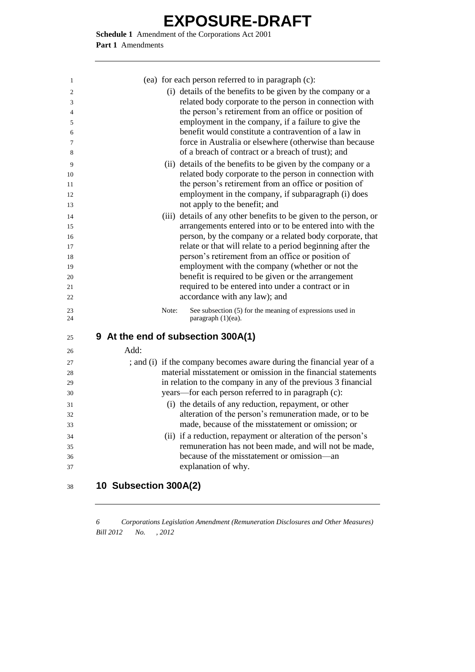**Schedule 1** Amendment of the Corporations Act 2001 **Part 1** Amendments

| 1              |      |       | (ea) for each person referred to in paragraph (c):                    |
|----------------|------|-------|-----------------------------------------------------------------------|
| 2              |      |       | (i) details of the benefits to be given by the company or a           |
| 3              |      |       | related body corporate to the person in connection with               |
| $\overline{4}$ |      |       | the person's retirement from an office or position of                 |
| 5              |      |       | employment in the company, if a failure to give the                   |
| 6              |      |       | benefit would constitute a contravention of a law in                  |
| 7              |      |       | force in Australia or elsewhere (otherwise than because               |
| 8              |      |       | of a breach of contract or a breach of trust); and                    |
| 9              |      |       | (ii) details of the benefits to be given by the company or a          |
| 10             |      |       | related body corporate to the person in connection with               |
| 11             |      |       | the person's retirement from an office or position of                 |
| 12             |      |       | employment in the company, if subparagraph (i) does                   |
| 13             |      |       | not apply to the benefit; and                                         |
| 14             |      |       | (iii) details of any other benefits to be given to the person, or     |
| 15             |      |       | arrangements entered into or to be entered into with the              |
| 16             |      |       | person, by the company or a related body corporate, that              |
| 17             |      |       | relate or that will relate to a period beginning after the            |
| 18             |      |       | person's retirement from an office or position of                     |
| 19             |      |       | employment with the company (whether or not the                       |
| 20             |      |       | benefit is required to be given or the arrangement                    |
| 21             |      |       | required to be entered into under a contract or in                    |
| 22             |      |       | accordance with any law); and                                         |
| 23             |      | Note: | See subsection (5) for the meaning of expressions used in             |
| 24             |      |       | paragraph (1)(ea).                                                    |
| 25             |      |       | 9 At the end of subsection 300A(1)                                    |
| 26             | Add: |       |                                                                       |
| 27             |      |       | ; and (i) if the company becomes aware during the financial year of a |
| 28             |      |       | material misstatement or omission in the financial statements         |
| 29             |      |       | in relation to the company in any of the previous 3 financial         |
| 30             |      |       | years—for each person referred to in paragraph (c):                   |
| 31             |      |       | (i) the details of any reduction, repayment, or other                 |
| 32             |      |       | alteration of the person's remuneration made, or to be                |
| 33             |      |       | made, because of the misstatement or omission; or                     |
| 34             |      |       | (ii) if a reduction, repayment or alteration of the person's          |
| 35             |      |       | remuneration has not been made, and will not be made,                 |
| 36             |      |       | because of the misstatement or omission—an                            |
| 37             |      |       | explanation of why.                                                   |
|                |      |       |                                                                       |

**10 Subsection 300A(2)**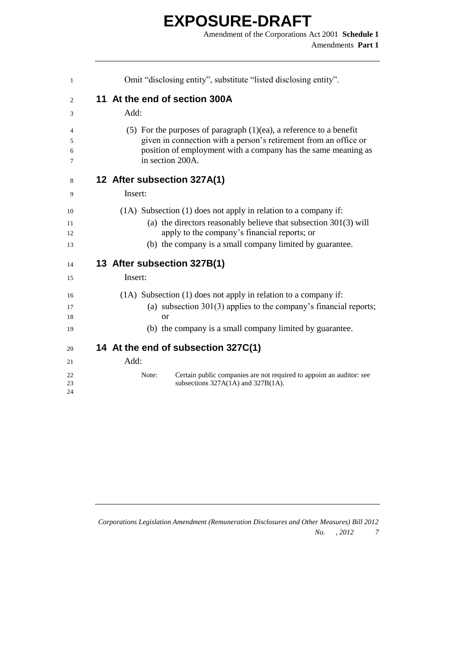| $\mathbf{1}$         | Omit "disclosing entity", substitute "listed disclosing entity".                                                                                                                                                                                  |
|----------------------|---------------------------------------------------------------------------------------------------------------------------------------------------------------------------------------------------------------------------------------------------|
| 2                    | 11 At the end of section 300A                                                                                                                                                                                                                     |
| 3                    | Add:                                                                                                                                                                                                                                              |
| 4<br>5<br>6<br>7     | (5) For the purposes of paragraph $(1)(ea)$ , a reference to a benefit<br>given in connection with a person's retirement from an office or<br>position of employment with a company has the same meaning as<br>in section 200A.                   |
| 8                    | 12 After subsection 327A(1)                                                                                                                                                                                                                       |
| 9                    | Insert:                                                                                                                                                                                                                                           |
| 10<br>11<br>12<br>13 | (1A) Subsection (1) does not apply in relation to a company if:<br>(a) the directors reasonably believe that subsection $301(3)$ will<br>apply to the company's financial reports; or<br>(b) the company is a small company limited by guarantee. |
| 14                   | 13 After subsection 327B(1)                                                                                                                                                                                                                       |
| 15                   | Insert:                                                                                                                                                                                                                                           |
| 16<br>17<br>18<br>19 | (1A) Subsection (1) does not apply in relation to a company if:<br>(a) subsection $301(3)$ applies to the company's financial reports;<br>or<br>(b) the company is a small company limited by guarantee.                                          |
| 20                   | 14 At the end of subsection 327C(1)                                                                                                                                                                                                               |
| 21                   | Add:                                                                                                                                                                                                                                              |
| 22<br>23<br>24       | Certain public companies are not required to appoint an auditor: see<br>Note:<br>subsections 327A(1A) and 327B(1A).                                                                                                                               |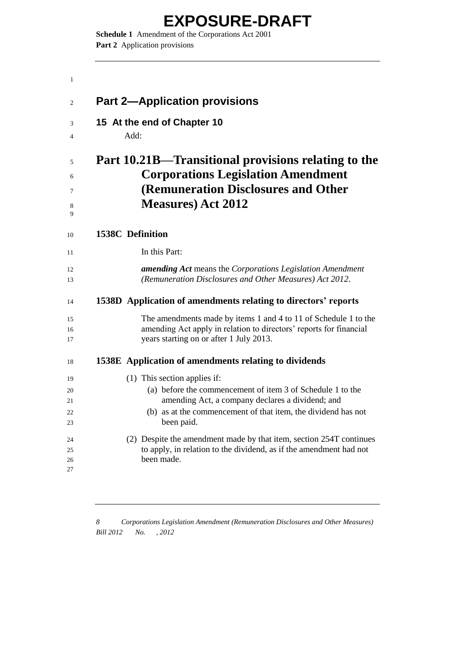**Schedule 1** Amendment of the Corporations Act 2001 **Part 2** Application provisions

| 1                     |                                                                                                                                                                                  |
|-----------------------|----------------------------------------------------------------------------------------------------------------------------------------------------------------------------------|
| $\mathfrak{2}$        | <b>Part 2-Application provisions</b>                                                                                                                                             |
| 3<br>4                | 15 At the end of Chapter 10<br>Add:                                                                                                                                              |
| 5<br>6<br>7<br>8<br>9 | Part 10.21B—Transitional provisions relating to the<br><b>Corporations Legislation Amendment</b><br><b>(Remuneration Disclosures and Other</b><br><b>Measures)</b> Act 2012      |
| 10                    | <b>1538C</b> Definition                                                                                                                                                          |
| 11                    | In this Part:                                                                                                                                                                    |
| 12<br>13              | <b>amending Act</b> means the Corporations Legislation Amendment<br>(Remuneration Disclosures and Other Measures) Act 2012.                                                      |
| 14                    | 1538D Application of amendments relating to directors' reports                                                                                                                   |
| 15<br>16<br>17        | The amendments made by items 1 and 4 to 11 of Schedule 1 to the<br>amending Act apply in relation to directors' reports for financial<br>years starting on or after 1 July 2013. |
| 18                    | 1538E Application of amendments relating to dividends                                                                                                                            |
| 19                    | (1) This section applies if:                                                                                                                                                     |
| 20                    | (a) before the commencement of item 3 of Schedule 1 to the                                                                                                                       |
| 21<br>22<br>23        | amending Act, a company declares a dividend; and<br>(b) as at the commencement of that item, the dividend has not<br>been paid.                                                  |
| 24<br>25<br>26<br>27  | (2) Despite the amendment made by that item, section 254T continues<br>to apply, in relation to the dividend, as if the amendment had not<br>been made.                          |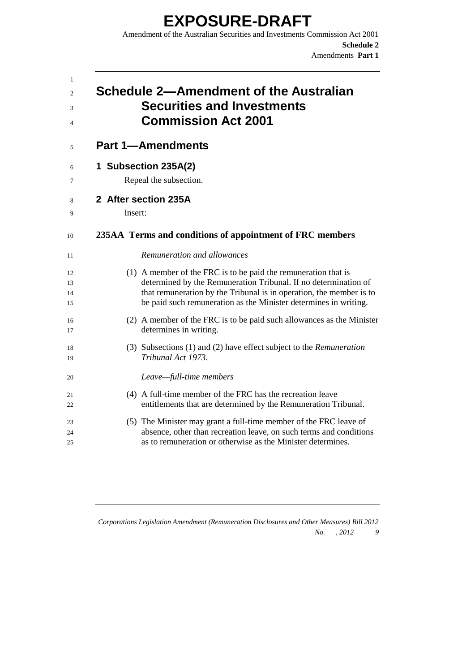Amendment of the Australian Securities and Investments Commission Act 2001 **Schedule 2** Amendments **Part 1**

| 1<br>2<br>3<br>$\overline{4}$ | Schedule 2—Amendment of the Australian<br><b>Securities and Investments</b><br><b>Commission Act 2001</b> |
|-------------------------------|-----------------------------------------------------------------------------------------------------------|
| 5                             | <b>Part 1-Amendments</b>                                                                                  |
| 6                             | 1 Subsection 235A(2)                                                                                      |
| 7                             | Repeal the subsection.                                                                                    |
| 8                             | 2 After section 235A                                                                                      |
| 9                             | Insert:                                                                                                   |
| 10                            | 235AA Terms and conditions of appointment of FRC members                                                  |
| 11                            | Remuneration and allowances                                                                               |
| 12                            | (1) A member of the FRC is to be paid the remuneration that is                                            |
| 13                            | determined by the Remuneration Tribunal. If no determination of                                           |
| 14                            | that remuneration by the Tribunal is in operation, the member is to                                       |
| 15                            | be paid such remuneration as the Minister determines in writing.                                          |
| 16                            | (2) A member of the FRC is to be paid such allowances as the Minister                                     |
| 17                            | determines in writing.                                                                                    |
| 18                            | (3) Subsections (1) and (2) have effect subject to the Remuneration                                       |
| 19                            | Tribunal Act 1973.                                                                                        |
| 20                            | Leave-full-time members                                                                                   |
| 21                            | (4) A full-time member of the FRC has the recreation leave                                                |
| 22                            | entitlements that are determined by the Remuneration Tribunal.                                            |
| 23                            | (5) The Minister may grant a full-time member of the FRC leave of                                         |
| 24                            | absence, other than recreation leave, on such terms and conditions                                        |
| 25                            | as to remuneration or otherwise as the Minister determines.                                               |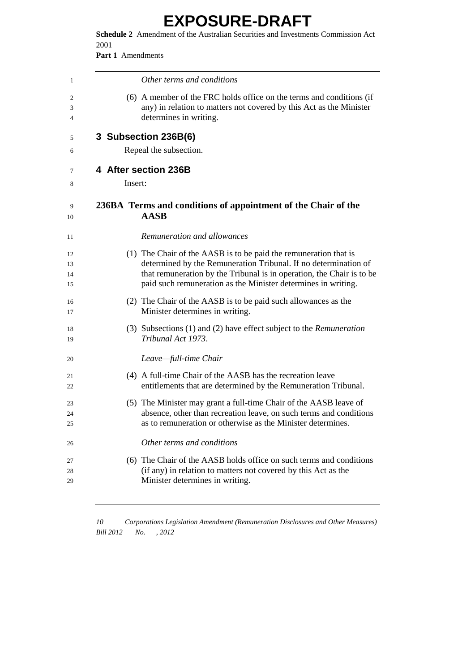**Schedule 2** Amendment of the Australian Securities and Investments Commission Act 

**Part 1** Amendments

| 1                    |                      | Other terms and conditions                                                                                                                                                                                                                                                    |
|----------------------|----------------------|-------------------------------------------------------------------------------------------------------------------------------------------------------------------------------------------------------------------------------------------------------------------------------|
| 2<br>3<br>4          |                      | (6) A member of the FRC holds office on the terms and conditions (if<br>any) in relation to matters not covered by this Act as the Minister<br>determines in writing.                                                                                                         |
| 5                    |                      | 3 Subsection 236B(6)                                                                                                                                                                                                                                                          |
| 6                    |                      | Repeal the subsection.                                                                                                                                                                                                                                                        |
| 7                    | 4 After section 236B |                                                                                                                                                                                                                                                                               |
| 8                    | Insert:              |                                                                                                                                                                                                                                                                               |
| 9<br>10              |                      | 236BA Terms and conditions of appointment of the Chair of the<br><b>AASB</b>                                                                                                                                                                                                  |
| 11                   |                      | Remuneration and allowances                                                                                                                                                                                                                                                   |
| 12<br>13<br>14<br>15 |                      | (1) The Chair of the AASB is to be paid the remuneration that is<br>determined by the Remuneration Tribunal. If no determination of<br>that remuneration by the Tribunal is in operation, the Chair is to be<br>paid such remuneration as the Minister determines in writing. |
| 16<br>17             |                      | (2) The Chair of the AASB is to be paid such allowances as the<br>Minister determines in writing.                                                                                                                                                                             |
| 18<br>19             |                      | (3) Subsections (1) and (2) have effect subject to the <i>Remuneration</i><br>Tribunal Act 1973.                                                                                                                                                                              |
| 20                   |                      | Leave-full-time Chair                                                                                                                                                                                                                                                         |
| 21<br>22             |                      | (4) A full-time Chair of the AASB has the recreation leave<br>entitlements that are determined by the Remuneration Tribunal.                                                                                                                                                  |
| 23<br>24<br>25       |                      | (5) The Minister may grant a full-time Chair of the AASB leave of<br>absence, other than recreation leave, on such terms and conditions<br>as to remuneration or otherwise as the Minister determines.                                                                        |
| 26                   |                      | Other terms and conditions                                                                                                                                                                                                                                                    |
| 27<br>28<br>29       |                      | (6) The Chair of the AASB holds office on such terms and conditions<br>(if any) in relation to matters not covered by this Act as the<br>Minister determines in writing.                                                                                                      |
|                      |                      |                                                                                                                                                                                                                                                                               |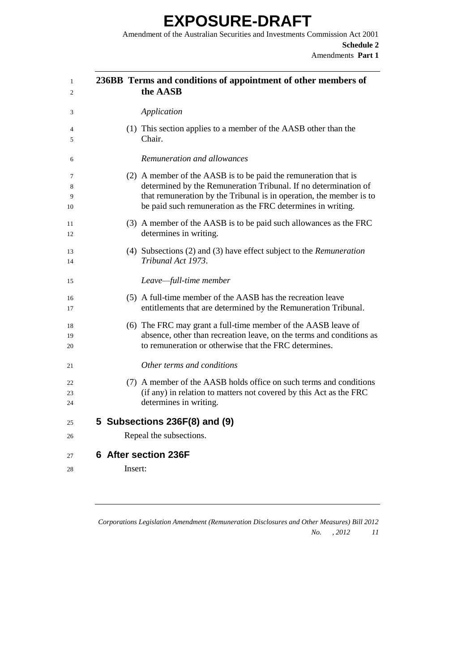Amendment of the Australian Securities and Investments Commission Act 2001 **Schedule 2** Amendments **Part 1**

| 1<br>$\mathfrak{D}$ | 236BB Terms and conditions of appointment of other members of<br>the AASB                                                                                                                                                                                                |
|---------------------|--------------------------------------------------------------------------------------------------------------------------------------------------------------------------------------------------------------------------------------------------------------------------|
| 3                   | Application                                                                                                                                                                                                                                                              |
| 4<br>5              | (1) This section applies to a member of the AASB other than the<br>Chair.                                                                                                                                                                                                |
| 6                   | Remuneration and allowances                                                                                                                                                                                                                                              |
| 7<br>8<br>9<br>10   | (2) A member of the AASB is to be paid the remuneration that is<br>determined by the Remuneration Tribunal. If no determination of<br>that remuneration by the Tribunal is in operation, the member is to<br>be paid such remuneration as the FRC determines in writing. |
| 11<br>12            | (3) A member of the AASB is to be paid such allowances as the FRC<br>determines in writing.                                                                                                                                                                              |
| 13<br>14            | (4) Subsections (2) and (3) have effect subject to the Remuneration<br>Tribunal Act 1973.                                                                                                                                                                                |
| 15                  | Leave-full-time member                                                                                                                                                                                                                                                   |
| 16<br>17            | (5) A full-time member of the AASB has the recreation leave<br>entitlements that are determined by the Remuneration Tribunal.                                                                                                                                            |
| 18<br>19<br>20      | (6) The FRC may grant a full-time member of the AASB leave of<br>absence, other than recreation leave, on the terms and conditions as<br>to remuneration or otherwise that the FRC determines.                                                                           |
| 21                  | Other terms and conditions                                                                                                                                                                                                                                               |
| 22<br>23<br>24      | (7) A member of the AASB holds office on such terms and conditions<br>(if any) in relation to matters not covered by this Act as the FRC<br>determines in writing.                                                                                                       |
| 25                  | 5 Subsections 236F(8) and (9)                                                                                                                                                                                                                                            |
| 26                  | Repeal the subsections.                                                                                                                                                                                                                                                  |
| 27                  | 6 After section 236F                                                                                                                                                                                                                                                     |
| 28                  | Insert:                                                                                                                                                                                                                                                                  |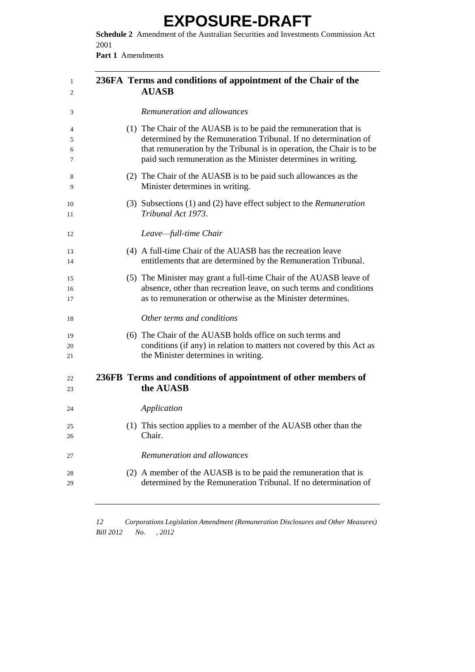**Schedule 2** Amendment of the Australian Securities and Investments Commission Act 

**Part 1** Amendments

| 1<br>2   | 236FA Terms and conditions of appointment of the Chair of the<br><b>AUASB</b>                                                          |  |
|----------|----------------------------------------------------------------------------------------------------------------------------------------|--|
| 3        | Remuneration and allowances                                                                                                            |  |
| 4        | (1) The Chair of the AUASB is to be paid the remuneration that is                                                                      |  |
| 5        | determined by the Remuneration Tribunal. If no determination of                                                                        |  |
| 6<br>7   | that remuneration by the Tribunal is in operation, the Chair is to be<br>paid such remuneration as the Minister determines in writing. |  |
| 8<br>9   | (2) The Chair of the AUASB is to be paid such allowances as the<br>Minister determines in writing.                                     |  |
| 10<br>11 | (3) Subsections $(1)$ and $(2)$ have effect subject to the <i>Remuneration</i><br>Tribunal Act 1973.                                   |  |
| 12       | Leave-full-time Chair                                                                                                                  |  |
| 13       | (4) A full-time Chair of the AUASB has the recreation leave                                                                            |  |
| 14       | entitlements that are determined by the Remuneration Tribunal.                                                                         |  |
| 15       | (5) The Minister may grant a full-time Chair of the AUASB leave of                                                                     |  |
| 16<br>17 | absence, other than recreation leave, on such terms and conditions<br>as to remuneration or otherwise as the Minister determines.      |  |
| 18       | Other terms and conditions                                                                                                             |  |
| 19       | (6) The Chair of the AUASB holds office on such terms and                                                                              |  |
| 20       | conditions (if any) in relation to matters not covered by this Act as                                                                  |  |
| 21       | the Minister determines in writing.                                                                                                    |  |
| 22<br>23 | 236FB Terms and conditions of appointment of other members of<br>the AUASB                                                             |  |
| 24       | Application                                                                                                                            |  |
| 25       | (1) This section applies to a member of the AUASB other than the                                                                       |  |
| 26       | Chair.                                                                                                                                 |  |
| 27       | Remuneration and allowances                                                                                                            |  |
| 28       | (2) A member of the AUASB is to be paid the remuneration that is                                                                       |  |
| 29       | determined by the Remuneration Tribunal. If no determination of                                                                        |  |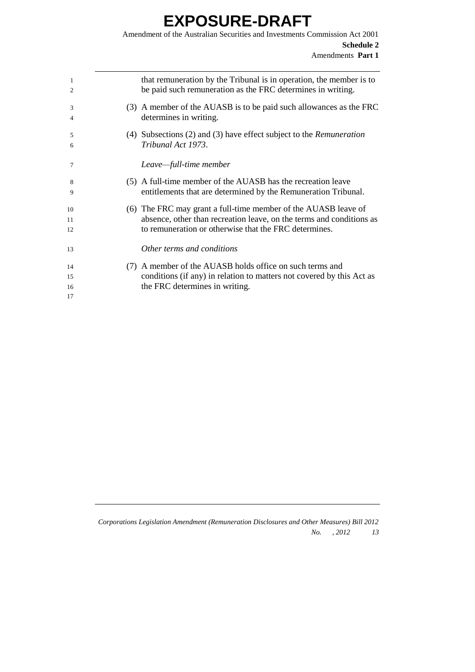Amendment of the Australian Securities and Investments Commission Act 2001 **Schedule 2** Amendments **Part 1**

| 1                    | that remuneration by the Tribunal is in operation, the member is to                                                                                                 |
|----------------------|---------------------------------------------------------------------------------------------------------------------------------------------------------------------|
| 2                    | be paid such remuneration as the FRC determines in writing.                                                                                                         |
| 3                    | (3) A member of the AUASB is to be paid such allowances as the FRC                                                                                                  |
| 4                    | determines in writing.                                                                                                                                              |
| 5                    | (4) Subsections (2) and (3) have effect subject to the <i>Remuneration</i>                                                                                          |
| 6                    | Tribunal Act 1973.                                                                                                                                                  |
| 7                    | Leave—full-time member                                                                                                                                              |
| 8                    | (5) A full-time member of the AUASB has the recreation leave                                                                                                        |
| 9                    | entitlements that are determined by the Remuneration Tribunal.                                                                                                      |
| 10                   | (6) The FRC may grant a full-time member of the AUASB leave of                                                                                                      |
| 11                   | absence, other than recreation leave, on the terms and conditions as                                                                                                |
| 12                   | to remuneration or otherwise that the FRC determines.                                                                                                               |
| 13                   | Other terms and conditions                                                                                                                                          |
| 14<br>15<br>16<br>17 | (7) A member of the AUASB holds office on such terms and<br>conditions (if any) in relation to matters not covered by this Act as<br>the FRC determines in writing. |
|                      |                                                                                                                                                                     |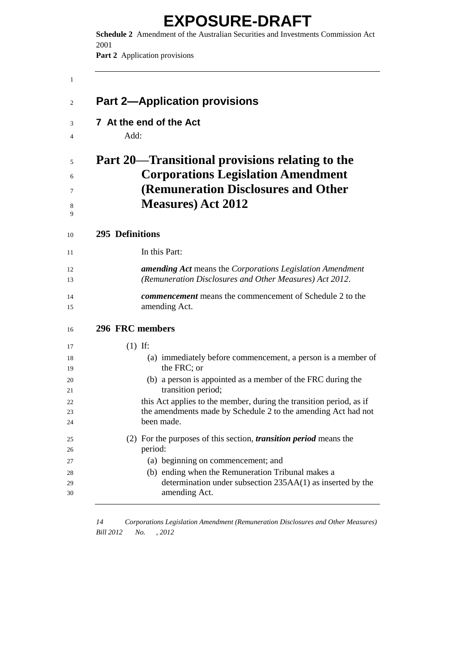**Schedule 2** Amendment of the Australian Securities and Investments Commission Act 

**Part 2** Application provisions

|                 | <b>Part 2-Application provisions</b>                                                                                                                              |
|-----------------|-------------------------------------------------------------------------------------------------------------------------------------------------------------------|
|                 | 7 At the end of the Act                                                                                                                                           |
| Add:            |                                                                                                                                                                   |
|                 | Part 20—Transitional provisions relating to the<br><b>Corporations Legislation Amendment</b><br>(Remuneration Disclosures and Other<br><b>Measures</b> ) Act 2012 |
| 295 Definitions |                                                                                                                                                                   |
|                 | In this Part:                                                                                                                                                     |
|                 | <b>amending Act</b> means the Corporations Legislation Amendment<br>(Remuneration Disclosures and Other Measures) Act 2012.                                       |
|                 | <b><i>commencement</i></b> means the commencement of Schedule 2 to the<br>amending Act.                                                                           |
| 296 FRC members |                                                                                                                                                                   |
| $(1)$ If:       |                                                                                                                                                                   |
|                 | (a) immediately before commencement, a person is a member of<br>the FRC; or                                                                                       |
|                 | (b) a person is appointed as a member of the FRC during the<br>transition period;                                                                                 |
|                 | this Act applies to the member, during the transition period, as if                                                                                               |
|                 | the amendments made by Schedule 2 to the amending Act had not<br>been made.                                                                                       |
|                 | (2) For the purposes of this section, <i>transition period</i> means the                                                                                          |
|                 | period:<br>(a) beginning on commencement; and                                                                                                                     |
|                 | (b) ending when the Remuneration Tribunal makes a<br>determination under subsection 235AA(1) as inserted by the<br>amending Act.                                  |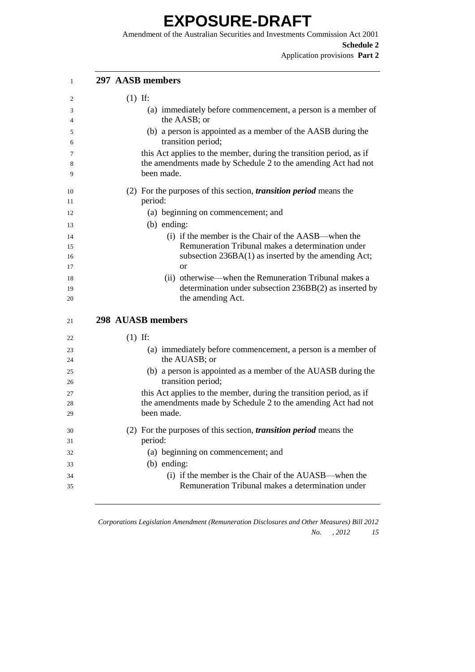Amendment of the Australian Securities and Investments Commission Act 2001 **Schedule 2**

Application provisions **Part 2**

| 1           | 297 AASB members                                                                                                                                   |
|-------------|----------------------------------------------------------------------------------------------------------------------------------------------------|
| 2           | $(1)$ If:                                                                                                                                          |
| 3<br>4      | (a) immediately before commencement, a person is a member of<br>the AASB; or                                                                       |
| 5<br>6      | (b) a person is appointed as a member of the AASB during the<br>transition period;                                                                 |
| 7<br>8<br>9 | this Act applies to the member, during the transition period, as if<br>the amendments made by Schedule 2 to the amending Act had not<br>been made. |
| 10<br>11    | (2) For the purposes of this section, <i>transition period</i> means the<br>period:                                                                |
| 12<br>13    | (a) beginning on commencement; and<br>(b) ending:                                                                                                  |
| 14<br>15    | (i) if the member is the Chair of the AASB—when the<br>Remuneration Tribunal makes a determination under                                           |
| 16<br>17    | subsection $236BA(1)$ as inserted by the amending Act;<br><sub>or</sub>                                                                            |
| 18<br>19    | (ii) otherwise—when the Remuneration Tribunal makes a<br>determination under subsection 236BB(2) as inserted by                                    |
| 20          | the amending Act.                                                                                                                                  |
| 21          | 298 AUASB members                                                                                                                                  |
| 22          | $(1)$ If:                                                                                                                                          |
| 23<br>24    | (a) immediately before commencement, a person is a member of<br>the AUASB; or                                                                      |
| 25<br>26    | (b) a person is appointed as a member of the AUASB during the<br>transition period;                                                                |
| 27          | this Act applies to the member, during the transition period, as if                                                                                |
| 28<br>29    | the amendments made by Schedule 2 to the amending Act had not<br>been made.                                                                        |
| 30<br>31    | (2) For the purposes of this section, <i>transition period</i> means the<br>period:                                                                |
| 32          | (a) beginning on commencement; and                                                                                                                 |
| 33          | $(b)$ ending:                                                                                                                                      |
| 34          | (i) if the member is the Chair of the AUASB—when the                                                                                               |
| 35          | Remuneration Tribunal makes a determination under                                                                                                  |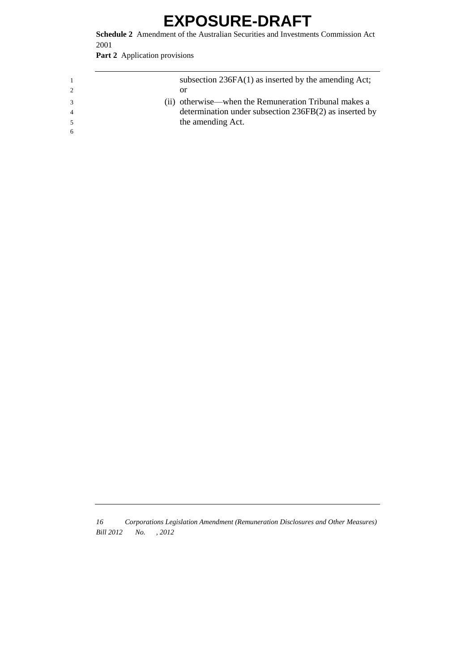**Schedule 2** Amendment of the Australian Securities and Investments Commission Act 2001

**Part 2** Application provisions

|  | subsection $236FA(1)$ as inserted by the amending Act; |
|--|--------------------------------------------------------|
|  | or                                                     |
|  | (ii) otherwise—when the Remuneration Tribunal makes a  |
|  | determination under subsection 236FB(2) as inserted by |
|  | the amending Act.                                      |
|  |                                                        |
|  |                                                        |